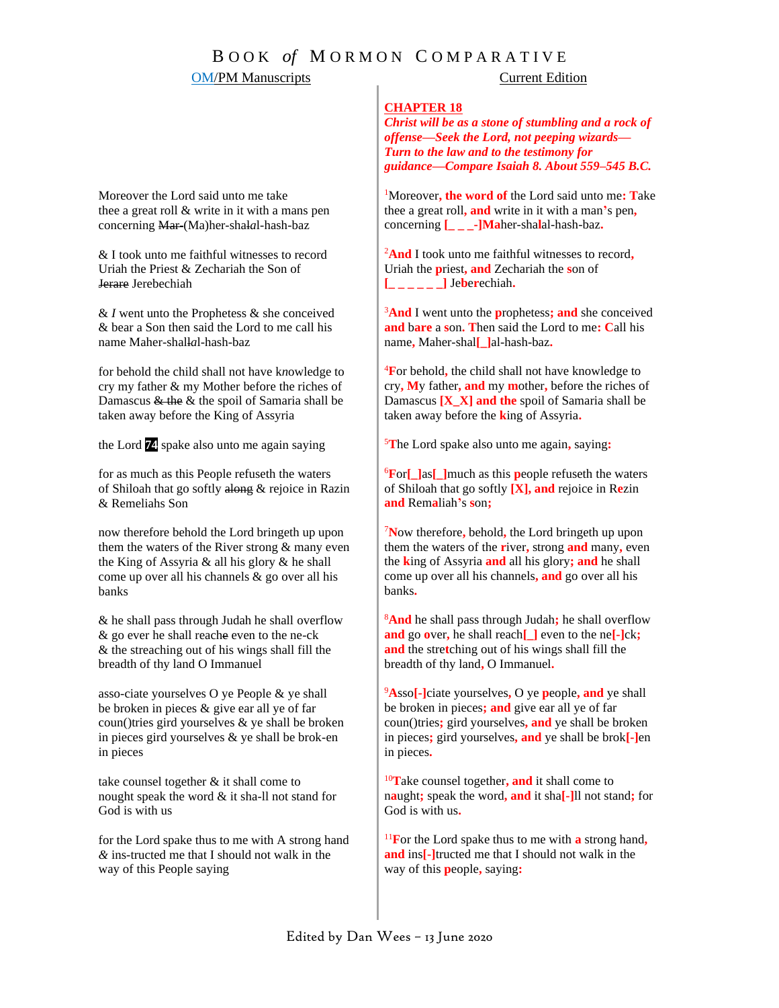# B O O K *of* M O R M O N C O M P A R A T I V E

## **OM/PM Manuscripts** Current Edition

### **CHAPTER 18**

*Christ will be as a stone of stumbling and a rock of offense—Seek the Lord, not peeping wizards— Turn to the law and to the testimony for guidance—Compare Isaiah 8. About 559–545 B.C.*

<sup>1</sup>Moreover**, the word of** the Lord said unto me**: T**ake thee a great roll**, and** write in it with a man**'**s pen**,**  concerning **[\_ \_ \_-]Ma**her-sha**l**al-hash-baz**.**

<sup>2</sup>**And** I took unto me faithful witnesses to record**,** Uriah the **p**riest**, and** Zechariah the **s**on of  $[- - - - ]$  Jeberechiah.

<sup>3</sup>**And** I went unto the **p**rophetess**; and** she conceived **and** b**are** a **s**on**. T**hen said the Lord to me**: C**all his name**,** Maher-shal**[\_]**al-hash-baz**.**

<sup>4</sup>**F**or behold**,** the child shall not have knowledge to cry**, M**y father**, and** my **m**other**,** before the riches of Damascus **[X\_X] and the** spoil of Samaria shall be taken away before the **k**ing of Assyria**.**

<sup>5</sup>**T**he Lord spake also unto me again**,** saying**:**

<sup>6</sup>**F**or**[\_]**as**[\_]**much as this **p**eople refuseth the waters of Shiloah that go softly **[X], and** rejoice in R**e**zin **and** Rem**a**liah**'**s **s**on**;**

<sup>7</sup>**N**ow therefore**,** behold**,** the Lord bringeth up upon them the waters of the **r**iver**,** strong **and** many**,** even the **k**ing of Assyria **and** all his glory**; and** he shall come up over all his channels**, and** go over all his banks**.**

<sup>8</sup>**And** he shall pass through Judah**;** he shall overflow **and** go **o**ver**,** he shall reach**[\_]** even to the ne**[-]**ck**; and** the stre**t**ching out of his wings shall fill the breadth of thy land**,** O Immanuel**.**

<sup>9</sup>**A**sso**[-]**ciate yourselves**,** O ye **p**eople**, and** ye shall be broken in pieces**; and** give ear all ye of far coun()tries**;** gird yourselves**, and** ye shall be broken in pieces**;** gird yourselves**, and** ye shall be brok**[-]**en in pieces**.**

<sup>10</sup>**T**ake counsel together**, and** it shall come to n**a**ught**;** speak the word**, and** it sha**[-]**ll not stand**;** for God is with us**.**

<sup>11</sup>**F**or the Lord spake thus to me with **a** strong hand**, and** ins**[-]**tructed me that I should not walk in the way of this **p**eople**,** saying**:**

Moreover the Lord said unto me take thee a great roll & write in it with a mans pen concerning Mar-(Ma)her*-*shal*a*l*-*hash*-*baz

& I took unto me faithful witnesses to record Uriah the Priest & Zechariah the Son of Jerare Jerebechiah

& *I* went unto the Prophetess & she conceived & bear a Son then said the Lord to me call his name Maher*-*shall*a*l*-*hash*-*baz

for behold the child shall not have k*n*owledge to cry my father & my Mother before the riches of Damascus & the & the spoil of Samaria shall be taken away before the King of Assyria

the Lord **74** spake also unto me again saying

for as much as this People refuseth the waters of Shiloah that go softly along & rejoice in Razin & Remeliahs Son

now therefore behold the Lord bringeth up upon them the waters of the River strong & many even the King of Assyria & all his glory & he shall come up over all his channels & go over all his banks

& he shall pass through Judah he shall overflow & go ever he shall reache even to the ne-ck & the streaching out of his wings shall fill the breadth of thy land O Immanuel

asso-ciate yourselves O ye People & ye shall be broken in pieces & give ear all ye of far  $coun()$  tries gird yourselves  $\&$  ye shall be broken in pieces gird yourselves & ye shall be brok-en in pieces

take counsel together & it shall come to nought speak the word & it sha-ll not stand for God is with us

for the Lord spake thus to me with A strong hand *&* ins-tructed me that I should not walk in the way of this People saying